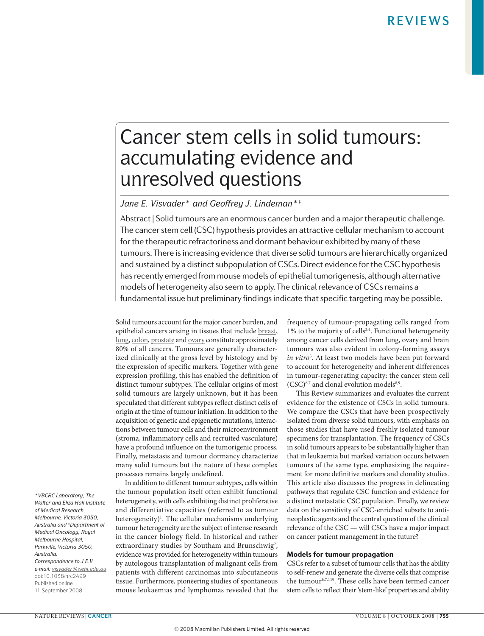# Cancer stem cells in solid tumours: accumulating evidence and unresolved questions

### *Jane E. Visvader\* and Geoffrey J. Lindeman\*‡*

Abstract | Solid tumours are an enormous cancer burden and a major therapeutic challenge. The cancer stem cell (CSC) hypothesis provides an attractive cellular mechanism to account for the therapeutic refractoriness and dormant behaviour exhibited by many of these tumours. There is increasing evidence that diverse solid tumours are hierarchically organized and sustained by a distinct subpopulation of CSCs. Direct evidence for the CSC hypothesis has recently emerged from mouse models of epithelial tumorigenesis, although alternative models of heterogeneity also seem to apply. The clinical relevance of CSCs remains a fundamental issue but preliminary findings indicate that specific targeting may be possible.

Solid tumours account for the major cancer burden, and epithelial cancers arising in tissues that include [breast,](http://www.cancer.gov/cancertopics/types/breast) [lung](http://www.cancer.gov/cancertopics/types/lung), [colon](http://www.cancer.gov/cancertopics/types/colon-and-rectal), [prostate](http://www.cancer.gov/cancertopics/types/prostate) and [ovary](http://www.cancer.gov/cancertopics/types/ovarian) constitute approximately 80% of all cancers. Tumours are generally characterized clinically at the gross level by histology and by the expression of specific markers. Together with gene expression profiling, this has enabled the definition of distinct tumour subtypes. The cellular origins of most solid tumours are largely unknown, but it has been speculated that different subtypes reflect distinct cells of origin at the time of tumour initiation. In addition to the acquisition of genetic and epigenetic mutations, interactions between tumour cells and their microenvironment (stroma, inflammatory cells and recruited vasculature) have a profound influence on the tumorigenic process. Finally, metastasis and tumour dormancy characterize many solid tumours but the nature of these complex processes remains largely undefined.

In addition to different tumour subtypes, cells within the tumour population itself often exhibit functional heterogeneity, with cells exhibiting distinct proliferative and differentiative capacities (referred to as tumour heterogeneity)<sup>1</sup>. The cellular mechanisms underlying tumour heterogeneity are the subject of intense research in the cancer biology field. In historical and rather extraordinary studies by Southam and Brunschwig<sup>2</sup>, evidence was provided for heterogeneity within tumours by autologous transplantation of malignant cells from patients with different carcinomas into subcutaneous tissue. Furthermore, pioneering studies of spontaneous mouse leukaemias and lymphomas revealed that the

frequency of tumour-propagating cells ranged from 1% to the majority of cells<sup>3,4</sup>. Functional heterogeneity among cancer cells derived from lung, ovary and brain tumours was also evident in colony-forming assays *in vitro*<sup>5</sup> . At least two models have been put forward to account for heterogeneity and inherent differences in tumour-regenerating capacity: the cancer stem cell  $(CSC)^{6,7}$  and clonal evolution models<sup>8,9</sup>.

This Review summarizes and evaluates the current evidence for the existence of CSCs in solid tumours. We compare the CSCs that have been prospectively isolated from diverse solid tumours, with emphasis on those studies that have used freshly isolated tumour specimens for transplantation. The frequency of CSCs in solid tumours appears to be substantially higher than that in leukaemia but marked variation occurs between tumours of the same type, emphasizing the requirement for more definitive markers and clonality studies. This article also discusses the progress in delineating pathways that regulate CSC function and evidence for a distinct metastatic CSC population. Finally, we review data on the sensitivity of CSC-enriched subsets to antineoplastic agents and the central question of the clinical relevance of the CSC — will CSCs have a major impact on cancer patient management in the future?

#### Models for tumour propagation

CSCs refer to a subset of tumour cells that has the ability to self-renew and generate the diverse cells that comprise the tumour<sup>6,7,119</sup>. These cells have been termed cancer stem cells to reflect their 'stem-like' properties and ability

*\*VBCRC Laboratory, The Walter and Eliza Hall Institute of Medical Research, Melbourne, Victoria 3050, Australia and ‡Department of Medical Oncology, Royal Melbourne Hospital, Parkville, Victoria 3050, Australia. Correspondence to J.E.V. e-mail: [visvader@wehi.edu.au](mailto:visvader@wehi.edu.au)* doi:10.1038/nrc2499 Published online 11 September 2008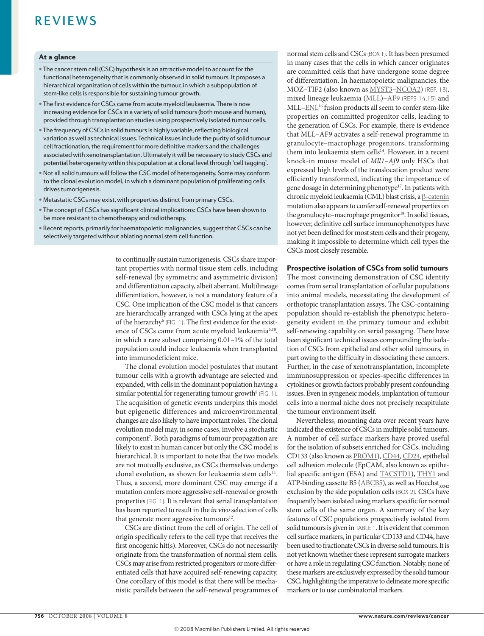#### At a glance

- The cancer stem cell (CSC) hypothesis is an attractive model to account for the functional heterogeneity that is commonly observed in solid tumours. It proposes a hierarchical organization of cells within the tumour, in which a subpopulation of stem-like cells is responsible for sustaining tumour growth.
- The first evidence for CSCs came from acute myeloid leukaemia. There is now increasing evidence for CSCs in a variety of solid tumours (both mouse and human), provided through transplantation studies using prospectively isolated tumour cells.
- The frequency of CSCs in solid tumours is highly variable, reflecting biological variation as well as technical issues. Technical issues include the purity of solid tumour cell fractionation, the requirement for more definitive markers and the challenges associated with xenotransplantation. Ultimately it will be necessary to study CSCs and potential heterogeneity within this population at a clonal level through 'cell tagging'.
- Not all solid tumours will follow the CSC model of heterogeneity. Some may conform to the clonal evolution model, in which a dominant population of proliferating cells drives tumorigenesis.
- Metastatic CSCs may exist, with properties distinct from primary CSCs.
- The concept of CSCs has significant clinical implications: CSCs have been shown to be more resistant to chemotherapy and radiotherapy.
- Recent reports, primarily for haematopoietic malignancies, suggest that CSCs can be selectively targeted without ablating normal stem cell function.

to continually sustain tumorigenesis. CSCs share important properties with normal tissue stem cells, including self-renewal (by symmetric and asymmetric division) and differentiation capacity, albeit aberrant. multilineage differentiation, however, is not a mandatory feature of a CSC. one implication of the CSC model is that cancers are hierarchically arranged with CSCs lying at the apex of the hierarchy<sup>6</sup> (FIG. 1). The first evidence for the existence of CSCs came from acute myeloid leukaemia<sup>6,10</sup>, in which a rare subset comprising 0.01–1% of the total population could induce leukaemia when transplanted into immunodeficient mice.

The clonal evolution model postulates that mutant tumour cells with a growth advantage are selected and expanded, with cells in the dominant population having a similar potential for regenerating tumour growth<sup>8</sup> (FIG. 1). The acquisition of genetic events underpins this model but epigenetic differences and microenvironmental changes are also likely to have important roles. The clonal evolution model may, in some cases, involve a stochastic component<sup>7</sup>. Both paradigms of tumour propagation are likely to exist in human cancer but only the CSC model is hierarchical. It is important to note that the two models are not mutually exclusive, as CSCs themselves undergo clonal evolution, as shown for leukaemia stem cells<sup>11</sup>. Thus, a second, more dominant CSC may emerge if a mutation confers more aggressive self-renewal or growth properties (FIG. 1). It is relevant that serial transplantation has been reported to result in the *in vivo* selection of cells that generate more aggressive tumours $12$ .

CSCs are distinct from the cell of origin. The cell of origin specifically refers to the cell type that receives the first oncogenic hit(s). Moreover, CSCs do not necessarily originate from the transformation of normal stem cells. CSCs may arise from restricted progenitors or more differentiated cells that have acquired self-renewing capacity. One corollary of this model is that there will be mechanistic parallels between the self-renewal programmes of normal stem cells and CSCs (BOX 1). It has been presumed in many cases that the cells in which cancer originates are committed cells that have undergone some degree of differentiation. In haematopoietic malignancies, the moZ–TIF2 (also known as [mYST3–](http://www.uniprot.org/uniprot/Q92794)[nCoA2\)](http://www.uniprot.org/uniprot/Q15596) (ReF. 13), mixed lineage leukaemia (MLL)-AF9 (REFS 14,15) and MLL-ENL<sup>16</sup> fusion products all seem to confer stem-like properties on committed progenitor cells, leading to the generation of CSCs. For example, there is evidence that mll–AF9 activates a self-renewal programme in granulocyte–macrophage progenitors, transforming them into leukaemia stem cells<sup>14</sup>. However, in a recent knock-in mouse model of *Mll1–Af9* only HSCs that expressed high levels of the translocation product were efficiently transformed, indicating the importance of gene dosage in determining phenotype<sup>17</sup>. In patients with chronic myeloid leukaemia (Cml) blast crisis, a β[-catenin](http://www.uniprot.org/uniprot/P35222) mutation also appears to confer self-renewal properties on the granulocyte–macrophage progenitor<sup>18</sup>. In solid tissues, however, definitive cell surface immunophenotypes have not yet been defined for most stem cells and their progeny, making it impossible to determine which cell types the CSCs most closely resemble.

#### Prospective isolation of CSCs from solid tumours

The most convincing demonstration of CSC identity comes from serial transplantation of cellular populations into animal models, necessitating the development of orthotopic transplantation assays. The CSC-containing population should re-establish the phenotypic heterogeneity evident in the primary tumour and exhibit self-renewing capability on serial passaging. There have been significant technical issues compounding the isolation of CSCs from epithelial and other solid tumours, in part owing to the difficulty in dissociating these cancers. Further, in the case of xenotransplantation, incomplete immunosuppression or species-specific differences in cytokines or growth factors probably present confounding issues. Even in syngeneic models, implantation of tumour cells into a normal niche does not precisely recapitulate the tumour environment itself.

Nevertheless, mounting data over recent years have indicated the existence of CSCs in multiple solid tumours. A number of cell surface markers have proved useful for the isolation of subsets enriched for CSCs, including CD133 (also known as [PRom1\)](http://www.uniprot.org/uniprot/O43490), [CD44,](http://www.uniprot.org/uniprot/P16070) [CD24,](http://www.uniprot.org/uniprot/P25063) epithelial cell adhesion molecule (EpCAM, also known as epithe-lial specific antigen (ESA) and [TACSTD1\)](http://www.uniprot.org/uniprot/P16422), [THY1](http://www.uniprot.org/uniprot/P04216) and ATP-binding cassette B5 ([ABCB5\)](http://www.uniprot.org/uniprot/Q2M3G0), as well as Hoechst<sub>3342</sub> exclusion by the side population cells (BOX 2). CSCs have frequently been isolated using markers specific for normal stem cells of the same organ. A summary of the key features of CSC populations prospectively isolated from solid tumours is given in TABLe 1. It is evident that common cell surface markers, in particular CD133 and CD44, have been used to fractionate CSCs in diverse solid tumours. It is not yet known whether these represent surrogate markers or have a role in regulating CSC function. Notably, none of these markers are exclusively expressed by the solid tumour CSC, highlighting the imperative to delineate more specific markers or to use combinatorial markers.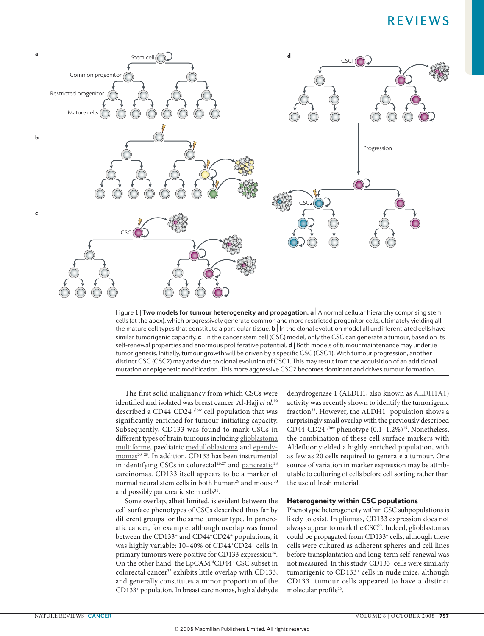

**Nature Reviews** | **Cancer** the mature cell types that constitute a particular tissue. **b**In the clonal evolution model all undifferentiated cells have Figure 1 | **Two models for tumour heterogeneity and propagation. a** | A normal cellular hierarchy comprising stem cells (at the apex), which progressively generate common and more restricted progenitor cells, ultimately yielding all similar tumorigenic capacity. **c**|In the cancer stem cell (CSC) model, only the CSC can generate a tumour, based on its self-renewal properties and enormous proliferative potential. **d** | Both models of tumour maintenance may underlie tumorigenesis. Initially, tumour growth will be driven by a specific CSC (CSC1). With tumour progression, another distinct CSC (CSC2) may arise due to clonal evolution of CSC1. This may result from the acquisition of an additional mutation or epigenetic modification. This more aggressive CSC2 becomes dominant and drives tumour formation.

The first solid malignancy from which CSCs were identified and isolated was breast cancer. Al-Hajj *et al.*<sup>19</sup> described a CD44+CD24–/low cell population that was significantly enriched for tumour-initiating capacity. Subsequently, CD133 was found to mark CSCs in different types of brain tumours including [glioblastoma](http://www.cancer.gov/Templates/db_alpha.aspx?CdrID=45699)  [multiforme,](http://www.cancer.gov/Templates/db_alpha.aspx?CdrID=45699) paediatric [medulloblastoma](http://www.cancer.gov/Templates/db_alpha.aspx?CdrID=45780) and [ependy](http://www.cancer.gov/Templates/db_alpha.aspx?CdrID=46432)[momas](http://www.cancer.gov/Templates/db_alpha.aspx?CdrID=46432)<sup>20-25</sup>. In addition, CD133 has been instrumental in identifying CSCs in colorectal<sup>26,27</sup> and pancreatic<sup>28</sup> carcinomas. CD133 itself appears to be a marker of normal neural stem cells in both human<sup>29</sup> and mouse<sup>30</sup> and possibly pancreatic stem cells<sup>31</sup>.

Some overlap, albeit limited, is evident between the cell surface phenotypes of CSCs described thus far by different groups for the same tumour type. In pancreatic cancer, for example, although overlap was found between the CD133<sup>+</sup> and CD44<sup>+</sup>CD24<sup>+</sup> populations, it was highly variable: 10-40% of CD44<sup>+</sup>CD24<sup>+</sup> cells in primary tumours were positive for CD133 expression<sup>28</sup>. On the other hand, the EpCAM<sup>hi</sup>CD44<sup>+</sup> CSC subset in colorectal cancer<sup>32</sup> exhibits little overlap with CD133, and generally constitutes a minor proportion of the CD133+ population. In breast carcinomas, high aldehyde dehydrogenase 1 (AlDH1, also known as [AlDH1A1\)](http://www.uniprot.org/uniprot/P00352) activity was recently shown to identify the tumorigenic fraction<sup>33</sup>. However, the ALDH1<sup>+</sup> population shows a surprisingly small overlap with the previously described CD44+CD24<sup>-/low</sup> phenotype (0.1-1.2%)<sup>19</sup>. Nonetheless, the combination of these cell surface markers with Aldefluor yielded a highly enriched population, with as few as 20 cells required to generate a tumour. One source of variation in marker expression may be attributable to culturing of cells before cell sorting rather than the use of fresh material.

#### Heterogeneity within CSC populations

Phenotypic heterogeneity within CSC subpopulations is likely to exist. In [gliomas](http://www.cancer.gov/Templates/db_alpha.aspx?CdrID=45700), CD133 expression does not always appear to mark the CSC<sup>22</sup>. Indeed, glioblastomas could be propagated from CD133– cells, although these cells were cultured as adherent spheres and cell lines before transplantation and long-term self-renewal was not measured. In this study, CD133– cells were similarly tumorigenic to CD133<sup>+</sup> cells in nude mice, although CD133– tumour cells appeared to have a distinct molecular profile<sup>22</sup>.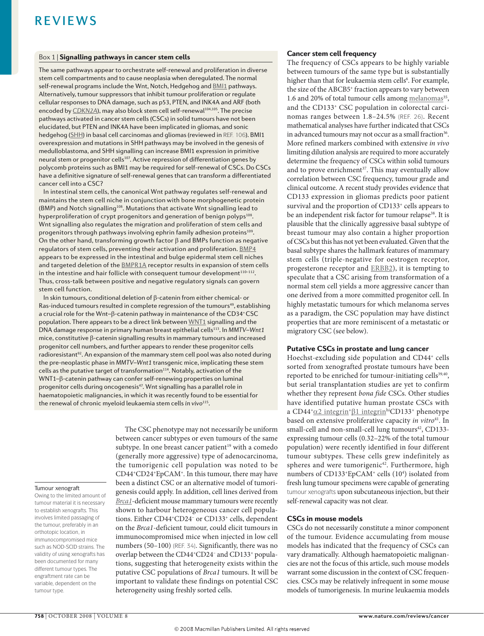#### Box 1 | Signalling pathways in cancer stem cells

The same pathways appear to orchestrate self-renewal and proliferation in diverse stem cell compartments and to cause neoplasia when deregulated. The normal self-renewal programs include the Wnt, Notch, Hedgehog and **[BMI](http://www.uniprot.org/uniprot/P35226)1** pathways. Alternatively, tumour suppressors that inhibit tumour proliferation or regulate cellular responses to DNA damage, such as p53, PTEN, and INK4A and ARF (both encoded by *[CDKN2A](http://www.ncbi.nlm.nih.gov/sites/entrez?Db=gene&Cmd=ShowDetailView&TermToSearch=1029)*), may also block stem cell self-renewal<sup>104,105</sup>. The precise pathways activated in cancer stem cells (CSCs) in solid tumours have not been elucidated, but PTEN and INK4A have been implicated in gliomas, and sonic hedgehog ([SHH](http://www.uniprot.org/uniprot/Q15465)) in basal cell carcinomas and gliomas (reviewed in REF. 106). BMI1 overexpression and mutations in SHH pathways may be involved in the genesis of medulloblastoma, and SHH signalling can increase BMI1 expression in primitive neural stem or progenitor cells<sup>107</sup>. Active repression of differentiation genes by polycomb proteins such as BMI1 may be required for self-renewal of CSCs. Do CSCs have a definitive signature of self-renewal genes that can transform a differentiated cancer cell into a CSC?

In intestinal stem cells, the canonical Wnt pathway regulates self-renewal and maintains the stem cell niche in conjunction with bone morphogenetic protein (BMP) and Notch signalling108. Mutations that activate Wnt signalling lead to hyperproliferation of crypt progenitors and generation of benign polyps<sup>108</sup>. Wnt signalling also regulates the migration and proliferation of stem cells and progenitors through pathways involving ephrin family adhesion proteins<sup>109</sup>. On the other hand, transforming growth factor β and BMPs function as negative regulators of stem cells, preventing their activation and proliferation. [BMP4](http://www.uniprot.org/uniprot/P12644) appears to be expressed in the intestinal and bulge epidermal stem cell niches and targeted deletion of the **[BMPR1](http://www.uniprot.org/uniprot/P36894)A** receptor results in expansion of stem cells in the intestine and hair follicle with consequent tumour development $110-112$ . Thus, cross-talk between positive and negative regulatory signals can govern stem cell function.

In skin tumours, conditional deletion of β-catenin from either chemical- or Ras-induced tumours resulted in complete regression of the tumours<sup>49</sup>, establishing a crucial role for the Wnt–β-catenin pathway in maintenance of the CD34+ CSC population. There appears to be a direct link between [WNT](http://www.uniprot.org/uniprot/P04628)1 signalling and the DNA damage response in primary human breast epithelial cells<sup>113</sup>. In *MMTV*–*Wnt1* mice, constitutive β-catenin signalling results in mammary tumours and increased progenitor cell numbers, and further appears to render these progenitor cells radioresistant<sup>92</sup>. An expansion of the mammary stem cell pool was also noted during the pre-neoplastic phase in *MMTV–Wnt1* transgenic mice, implicating these stem cells as the putative target of transformation<sup>114</sup>. Notably, activation of the WNT1–β-catenin pathway can confer self-renewing properties on luminal progenitor cells during oncogenesis<sup>47</sup>. Wnt signalling has a parallel role in haematopoietic malignancies, in which it was recently found to be essential for the renewal of chronic myeloid leukaemia stem cells *in vivo*115.

Tumour xenograft

Owing to the limited amount of tumour material it is necessary to establish xenografts. This involves limited passaging of the tumour, preferably in an orthotopic location, in immunocompromised mice such as NOD-SCID strains. The validity of using xenografts has been documented for many different tumour types. The engraftment rate can be variable, dependent on the tumour type.

The CSC phenotype may not necessarily be uniform between cancer subtypes or even tumours of the same subtype. In one breast cancer patient<sup>19</sup> with a comedo (generally more aggressive) type of adenocarcinoma, the tumorigenic cell population was noted to be CD44+CD24+EpCAM+. In this tumour, there may have been a distinct CSC or an alternative model of tumorigenesis could apply. In addition, cell lines derived from *[Brca1](http://www.ncbi.nlm.nih.gov/sites/entrez?Db=gene&Cmd=ShowDetailView&TermToSearch=12189,672)*-deficient mouse mammary tumours were recently shown to harbour heterogeneous cancer cell populations. Either CD44+CD24<sup>-</sup> or CD133<sup>+</sup> cells, dependent on the *Brca1*-deficient tumour, could elicit tumours in immunocompromised mice when injected in low cell numbers (50–100) (ReF. 34). Significantly, there was no overlap between the CD44<sup>+</sup>CD24<sup>-</sup> and CD133<sup>+</sup> populations, suggesting that heterogeneity exists within the putative CSC populations of *Brca1* tumours. It will be important to validate these findings on potential CSC heterogeneity using freshly sorted cells.

#### Cancer stem cell frequency

The frequency of CSCs appears to be highly variable between tumours of the same type but is substantially higher than that for leukaemia stem cells<sup>6</sup>. For example, the size of the ABCB5<sup>+</sup> fraction appears to vary between 1.6 and 20% of total tumour cells among melanomas<sup>35</sup>, and the CD133+ CSC population in colorectal carcinomas ranges between 1.8–24.5% (ReF. 26). Recent mathematical analyses have further indicated that CSCs in advanced tumours may not occur as a small fraction<sup>36</sup>. more refined markers combined with extensive *in vivo* limiting dilution analysis are required to more accurately determine the frequency of CSCs within solid tumours and to prove enrichment<sup>37</sup>. This may eventually allow correlation between CSC frequency, tumour grade and clinical outcome. A recent study provides evidence that CD133 expression in gliomas predicts poor patient survival and the proportion of CD133<sup>+</sup> cells appears to be an independent risk factor for tumour relapse<sup>38</sup>. It is plausible that the clinically aggressive basal subtype of breast tumour may also contain a higher proportion of CSCs but this has not yet been evaluated. Given that the basal subtype shares the hallmark features of mammary stem cells (triple-negative for oestrogen receptor, progesterone receptor and **ERBB2**), it is tempting to speculate that a CSC arising from transformation of a normal stem cell yields a more aggressive cancer than one derived from a more committed progenitor cell. In highly metastatic tumours for which melanoma serves as a paradigm, the CSC population may have distinct properties that are more reminiscent of a metastatic or migratory CSC (see below).

#### Putative CSCs in prostate and lung cancer

Hoechst-excluding side population and CD44<sup>+</sup> cells sorted from xenografted prostate tumours have been reported to be enriched for tumour-initiating cells<sup>39,40</sup>, but serial transplantation studies are yet to confirm whether they represent *bona fide* CSCs. Other studies have identified putative human prostate CSCs with a CD44<sup>+</sup>α[2 integrin](http://www.uniprot.org/uniprot/P17301)<sup>+</sup>β[1 integrin](http://www.uniprot.org/uniprot/P05556)<sup>hi</sup>CD133<sup>+</sup> phenotype based on extensive proliferative capacity *in vitro*41. In small-cell and non-small-cell lung tumours<sup>42</sup>, CD133expressing tumour cells (0.32–22% of the total tumour population) were recently identified in four different tumour subtypes. These cells grew indefinitely as spheres and were tumorigenic<sup>42</sup>. Furthermore, high numbers of CD133<sup>+</sup>EpCAM<sup>+</sup> cells (10<sup>4</sup>) isolated from fresh lung tumour specimens were capable of generating tumour xenografts upon subcutaneous injection, but their self-renewal capacity was not clear.

#### CSCs in mouse models

CSCs do not necessarily constitute a minor component of the tumour. Evidence accumulating from mouse models has indicated that the frequency of CSCs can vary dramatically. Although haematopoietic malignancies are not the focus of this article, such mouse models warrant some discussion in the context of CSC frequencies. CSCs may be relatively infrequent in some mouse models of tumorigenesis. In murine leukaemia models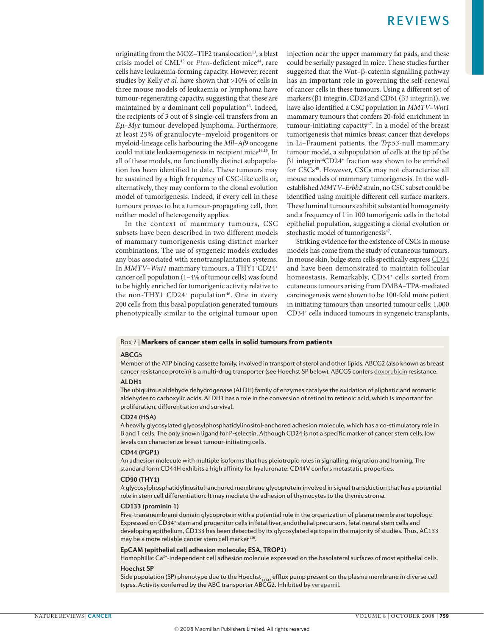originating from the MOZ-TIF2 translocation<sup>13</sup>, a blast crisis model of CML<sup>43</sup> or *[Pten](http://www.ncbi.nlm.nih.gov/sites/entrez?Db=gene&Cmd=ShowDetailView&TermToSearch=19211)*-deficient mice<sup>44</sup>, rare cells have leukaemia-forming capacity. However, recent studies by Kelly *et al.* have shown that >10% of cells in three mouse models of leukaemia or lymphoma have tumour-regenerating capacity, suggesting that these are maintained by a dominant cell population<sup>45</sup>. Indeed, the recipients of 3 out of 8 single-cell transfers from an *E*µ*–Myc* tumour developed lymphoma. Furthermore, at least 25% of granulocyte–myeloid progenitors or myeloid-lineage cells harbouring the *Mll–Af9* oncogene could initiate leukaemogenesis in recipient mice<sup>14,15</sup>. In all of these models, no functionally distinct subpopulation has been identified to date. These tumours may be sustained by a high frequency of CSC-like cells or, alternatively, they may conform to the clonal evolution model of tumorigenesis. Indeed, if every cell in these tumours proves to be a tumour-propagating cell, then neither model of heterogeneity applies.

In the context of mammary tumours, CSC subsets have been described in two different models of mammary tumorigenesis using distinct marker combinations. The use of syngeneic models excludes any bias associated with xenotransplantation systems. In *MMTV-Wnt1* mammary tumours, a THY1<sup>+</sup>CD24<sup>+</sup> cancer cell population (1–4% of tumour cells) was found to be highly enriched for tumorigenic activity relative to the non-THY1<sup>+</sup>CD24<sup>+</sup> population<sup>46</sup>. One in every 200 cells from this basal population generated tumours phenotypically similar to the original tumour upon injection near the upper mammary fat pads, and these could be serially passaged in mice. These studies further suggested that the Wnt–β-catenin signalling pathway has an important role in governing the self-renewal of cancer cells in these tumours. Using a different set of markers (β1 integrin, CD24 and CD61 (β3 [integrin\)](http://www.uniprot.org/uniprot/P05106)), we have also identified a CSC population in *MMTV–Wnt1* mammary tumours that confers 20-fold enrichment in tumour-initiating capacity<sup>47</sup>. In a model of the breast tumorigenesis that mimics breast cancer that develops in li–Fraumeni patients, the *Trp53*-null mammary tumour model, a subpopulation of cells at the tip of the β1 integrinhiCD24+ fraction was shown to be enriched for CSCs<sup>48</sup>. However, CSCs may not characterize all mouse models of mammary tumorigenesis. In the wellestablished *MMTV–Erbb2* strain, no CSC subset could be identified using multiple different cell surface markers. These luminal tumours exhibit substantial homogeneity and a frequency of 1 in 100 tumorigenic cells in the total epithelial population, suggesting a clonal evolution or stochastic model of tumorigenesis<sup>47</sup>.

Striking evidence for the existence of CSCs in mouse models has come from the study of cutaneous tumours. In mouse skin, bulge stem cells specifically express [CD34](http://www.uniprot.org/uniprot/P28906) and have been demonstrated to maintain follicular homeostasis. Remarkably, CD34<sup>+</sup> cells sorted from cutaneous tumours arising from DmBA–TPA-mediated carcinogenesis were shown to be 100-fold more potent in initiating tumours than unsorted tumour cells: 1,000 CD34+ cells induced tumours in syngeneic transplants,

#### Box 2 | Markers of cancer stem cells in solid tumours from patients

#### **aBcG5**

Member of the ATP binding cassette family, involved in transport of sterol and other lipids. ABCG2 (also known as breast cancer resistance protein) is a multi-drug transporter (see Hoechst SP below). ABCG5 confers [doxorubicin](http://www.cancer.gov/Templates/drugdictionary.aspx?CdrID=38860) resistance.

#### **aLDH1**

The ubiquitous aldehyde dehydrogenase (ALDH) family of enzymes catalyse the oxidation of aliphatic and aromatic aldehydes to carboxylic acids. ALDH1 has a role in the conversion of retinol to retinoic acid, which is important for proliferation, differentiation and survival.

#### **cD24 (HSa)**

A heavily glycosylated glycosylphosphatidylinositol-anchored adhesion molecule, which has a co-stimulatory role in B and T cells. The only known ligand for P-selectin. Although CD24 is not a specific marker of cancer stem cells, low levels can characterize breast tumour-initiating cells.

#### **cD44 (PGP1)**

An adhesion molecule with multiple isoforms that has pleiotropic roles in signalling, migration and homing. The standard form CD44H exhibits a high affinity for hyaluronate; CD44V confers metastatic properties.

#### **cD90 (THY1)**

A glycosylphosphatidylinositol-anchored membrane glycoprotein involved in signal transduction that has a potential role in stem cell differentiation. It may mediate the adhesion of thymocytes to the thymic stroma.

#### **cD133 (prominin 1)**

Five-transmembrane domain glycoprotein with a potential role in the organization of plasma membrane topology. Expressed on CD34<sup>+</sup> stem and progenitor cells in fetal liver, endothelial precursors, fetal neural stem cells and developing epithelium, CD133 has been detected by its glycosylated epitope in the majority of studies. Thus, AC133 may be a more reliable cancer stem cell marker<sup>116</sup>.

#### **epcaM (epithelial cell adhesion molecule; eSa, TrOP1)**

Homophillic Ca<sup>2+</sup>-independent cell adhesion molecule expressed on the basolateral surfaces of most epithelial cells. **Hoechst SP**

Side population (SP) phenotype due to the Hoechst<sub>33342</sub> efflux pump present on the plasma membrane in diverse cell types. Activity conferred by the ABC transporter ABCG2. Inhibited by [verapamil](http://www.cancer.gov/Templates/drugdictionary.aspx?CdrID=39730).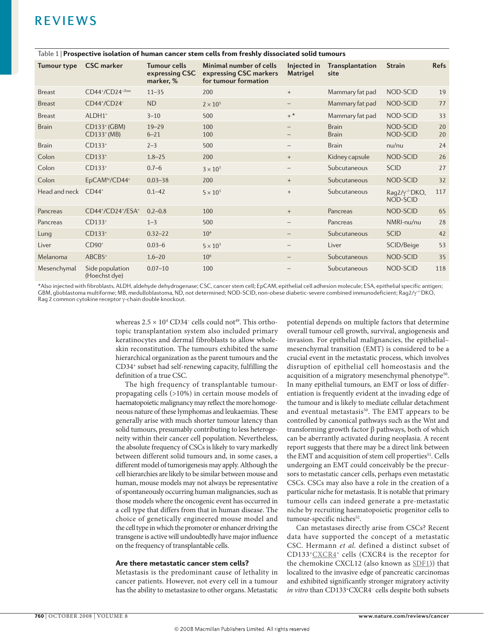| Tumour type   | <b>CSC</b> marker                         | <b>Tumour cells</b><br>expressing CSC<br>marker, % | Minimal number of cells<br>expressing CSC markers<br>for tumour formation | Injected in<br><b>Matrigel</b> | <b>Transplantation</b><br>site | <b>Strain</b>                                | <b>Refs</b> |
|---------------|-------------------------------------------|----------------------------------------------------|---------------------------------------------------------------------------|--------------------------------|--------------------------------|----------------------------------------------|-------------|
| <b>Breast</b> | CD44+/CD24 <sup>-/low</sup>               | $11 - 35$                                          | 200                                                                       | $+$                            | Mammary fat pad                | NOD-SCID                                     | 19          |
| <b>Breast</b> | CD44 <sup>+</sup> /CD24 <sup>-</sup>      | <b>ND</b>                                          | $2 \times 10^3$                                                           |                                | Mammary fat pad                | NOD-SCID                                     | 77          |
| <b>Breast</b> | ALDH1 <sup>+</sup>                        | $3 - 10$                                           | 500                                                                       | $+$ *                          | Mammary fat pad                | NOD-SCID                                     | 33          |
| <b>Brain</b>  | CD133 <sup>+</sup> (GBM)<br>$CD133^+(MB)$ | $19 - 29$<br>$6 - 21$                              | 100<br>100                                                                |                                | <b>Brain</b><br><b>Brain</b>   | NOD-SCID<br>NOD-SCID                         | 20<br>20    |
| <b>Brain</b>  | $CD133+$                                  | $2 - 3$                                            | 500                                                                       |                                | <b>Brain</b>                   | nu/nu                                        | 24          |
| Colon         | $CD133+$                                  | $1.8 - 25$                                         | 200                                                                       | $+$                            | Kidney capsule                 | NOD-SCID                                     | 26          |
| Colon         | $CD133+$                                  | $0.7 - 6$                                          | $3 \times 10^3$                                                           |                                | Subcutaneous                   | <b>SCID</b>                                  | 27          |
| Colon         | EpCAMhi/CD44+                             | $0.03 - 38$                                        | 200                                                                       | $+$                            | Subcutaneous                   | NOD-SCID                                     | 32          |
| Head and neck | $CD44+$                                   | $0.1 - 42$                                         | $5 \times 10^3$                                                           | $+$                            | Subcutaneous                   | Raq2/ $\gamma$ <sup>-DKO</sup> ,<br>NOD-SCID | 117         |
| Pancreas      | CD44+/CD24+/ESA+                          | $0.2 - 0.8$                                        | 100                                                                       | $+$                            | Pancreas                       | NOD-SCID                                     | 65          |
| Pancreas      | $CD133+$                                  | $1 - 3$                                            | 500                                                                       |                                | Pancreas                       | NMRI-nu/nu                                   | 28          |
| Lung          | $CD133+$                                  | $0.32 - 22$                                        | 10 <sup>4</sup>                                                           |                                | Subcutaneous                   | <b>SCID</b>                                  | 42          |
| Liver         | $CD90+$                                   | $0.03 - 6$                                         | $5 \times 10^3$                                                           |                                | Liver                          | SCID/Beige                                   | 53          |
| Melanoma      | ABCB5 <sup>+</sup>                        | $1.6 - 20$                                         | 10 <sup>6</sup>                                                           |                                | Subcutaneous                   | NOD-SCID                                     | 35          |
| Mesenchymal   | Side population<br>(Hoechst dye)          | $0.07 - 10$                                        | 100                                                                       |                                | Subcutaneous                   | NOD-SCID                                     | 118         |

#### Table 1 | Prospective isolation of human cancer stem cells from freshly dissociated solid tumours

\*Also injected with fibroblasts. ALDH, aldehyde dehydrogenase; CSC, cancer stem cell; EpCAM, epithelial cell adhesion molecule; ESA, epithelial specific antigen; GBM, glioblastoma multiforme; MB, medulloblastoma, ND, not determined; NOD-SCID, non-obese diabetic-severe combined immunodeficient; Rag2/γ<sup>/-</sup>DKO, Rag 2 common cytokine receptor γ-chain double knockout.

> whereas  $2.5 \times 10^4$  CD34<sup>-</sup> cells could not<sup>49</sup>. This orthotopic transplantation system also included primary keratinocytes and dermal fibroblasts to allow wholeskin reconstitution. The tumours exhibited the same hierarchical organization as the parent tumours and the CD34+ subset had self-renewing capacity, fulfilling the definition of a true CSC.

The high frequency of transplantable tumourpropagating cells (>10%) in certain mouse models of haematopoietic malignancy may reflect the more homogeneous nature of these lymphomas and leukaemias. These generally arise with much shorter tumour latency than solid tumours, presumably contributing to less heterogeneity within their cancer cell population. Nevertheless, the absolute frequency of CSCs is likely to vary markedly between different solid tumours and, in some cases, a different model of tumorigenesis may apply. Although the cell hierarchies are likely to be similar between mouse and human, mouse models may not always be representative of spontaneously occurring human malignancies, such as those models where the oncogenic event has occurred in a cell type that differs from that in human disease. The choice of genetically engineered mouse model and the cell type in which the promoter or enhancer driving the transgene is active will undoubtedly have major influence on the frequency of transplantable cells.

#### Are there metastatic cancer stem cells?

metastasis is the predominant cause of lethality in cancer patients. However, not every cell in a tumour has the ability to metastasize to other organs. metastatic potential depends on multiple factors that determine overall tumour cell growth, survival, angiogenesis and invasion. For epithelial malignancies, the epithelial– mesenchymal transition (EMT) is considered to be a crucial event in the metastatic process, which involves disruption of epithelial cell homeostasis and the acquisition of a migratory mesenchymal phenotype<sup>50</sup>. In many epithelial tumours, an EMT or loss of differentiation is frequently evident at the invading edge of the tumour and is likely to mediate cellular detachment and eventual metastasis<sup>50</sup>. The EMT appears to be controlled by canonical pathways such as the Wnt and transforming growth factor β pathways, both of which can be aberrantly activated during neoplasia. A recent report suggests that there may be a direct link between the EMT and acquisition of stem cell properties<sup>51</sup>. Cells undergoing an EMT could conceivably be the precursors to metastatic cancer cells, perhaps even metastatic CSCs. CSCs may also have a role in the creation of a particular niche for metastasis. It is notable that primary tumour cells can indeed generate a pre-metastatic niche by recruiting haematopoietic progenitor cells to tumour-specific niches<sup>52</sup>.

Can metastases directly arise from CSCs? Recent data have supported the concept of a metastatic CSC. Hermann *et al.* defined a distinct subset of CD133[+CXCR4](http://www.uniprot.org/uniprot/P61073)+ cells (CXCR4 is the receptor for the chemokine CXCl12 (also known as [SDF1\)](http://www.uniprot.org/uniprot/P48061)) that localized to the invasive edge of pancreatic carcinomas and exhibited significantly stronger migratory activity *in vitro* than CD133+CXCR4– cells despite both subsets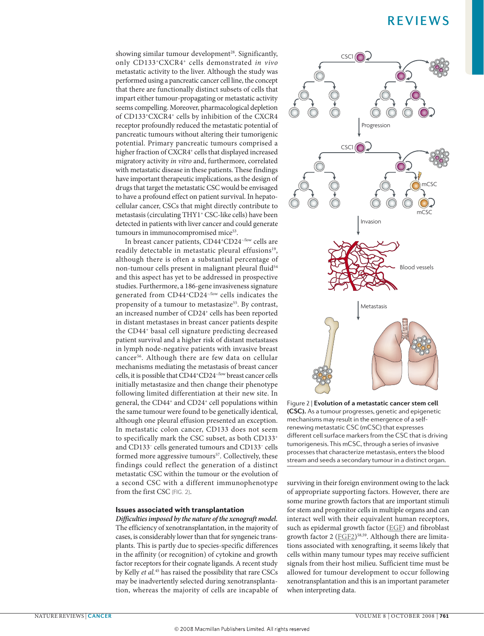showing similar tumour development<sup>28</sup>. Significantly, only CD133+CXCR4+ cells demonstrated *in vivo* metastatic activity to the liver. Although the study was performed using a pancreatic cancer cell line, the concept that there are functionally distinct subsets of cells that impart either tumour-propagating or metastatic activity seems compelling. Moreover, pharmacological depletion of CD133+CXCR4+ cells by inhibition of the CXCR4 receptor profoundly reduced the metastatic potential of pancreatic tumours without altering their tumorigenic potential. Primary pancreatic tumours comprised a higher fraction of CXCR4<sup>+</sup> cells that displayed increased migratory activity *in vitro* and, furthermore, correlated with metastatic disease in these patients. These findings have important therapeutic implications, as the design of drugs that target the metastatic CSC would be envisaged to have a profound effect on patient survival. In hepatocellular cancer, CSCs that might directly contribute to metastasis (circulating THY1<sup>+</sup> CSC-like cells) have been detected in patients with liver cancer and could generate tumours in immunocompromised mice<sup>53</sup>.

In breast cancer patients, CD44<sup>+</sup>CD24<sup>-/low</sup> cells are readily detectable in metastatic pleural effusions<sup>19</sup>, although there is often a substantial percentage of non-tumour cells present in malignant pleural fluid<sup>54</sup> and this aspect has yet to be addressed in prospective studies. Furthermore, a 186-gene invasiveness signature generated from CD44+CD24–/low cells indicates the propensity of a tumour to metastasize<sup>55</sup>. By contrast, an increased number of CD24<sup>+</sup> cells has been reported in distant metastases in breast cancer patients despite the CD44+ basal cell signature predicting decreased patient survival and a higher risk of distant metastases in lymph node-negative patients with invasive breast cancer56. Although there are few data on cellular mechanisms mediating the metastasis of breast cancer cells, it is possible that CD44<sup>+</sup>CD24<sup>-/low</sup> breast cancer cells initially metastasize and then change their phenotype following limited differentiation at their new site. In general, the CD44+ and CD24+ cell populations within the same tumour were found to be genetically identical, although one pleural effusion presented an exception. In metastatic colon cancer, CD133 does not seem to specifically mark the CSC subset, as both CD133+ and CD133– cells generated tumours and CD133– cells formed more aggressive tumours<sup>57</sup>. Collectively, these findings could reflect the generation of a distinct metastatic CSC within the tumour or the evolution of a second CSC with a different immunophenotype from the first CSC (FIG. 2).

#### Issues associated with transplantation

*Difficulties imposed by the nature of the xenograft model.* The efficiency of xenotransplantation, in the majority of cases, is considerably lower than that for syngeneic transplants. This is partly due to species-specific differences in the affinity (or recognition) of cytokine and growth factor receptors for their cognate ligands. A recent study by Kelly *et al.*45 has raised the possibility that rare CSCs may be inadvertently selected during xenotransplantation, whereas the majority of cells are incapable of



**Natural Progresses, generic and epigeneiic**<br>
mechanisms may result in the emergence of a self-Figure 2 | **Evolution of a metastatic cancer stem cell (cSc).** As a tumour progresses, genetic and epigenetic renewing metastatic CSC (mCSC) that expresses different cell surface markers from the CSC that is driving tumorigenesis. This mCSC, through a series of invasive processes that characterize metastasis, enters the blood stream and seeds a secondary tumour in a distinct organ.

surviving in their foreign environment owing to the lack of appropriate supporting factors. However, there are some murine growth factors that are important stimuli for stem and progenitor cells in multiple organs and can interact well with their equivalent human receptors, such as epidermal growth factor (EGF) and fibroblast growth factor 2 ([FGF2](http://www.uniprot.org/uniprot/P09038))<sup>58,59</sup>. Although there are limitations associated with xenografting, it seems likely that cells within many tumour types may receive sufficient signals from their host milieu. Sufficient time must be allowed for tumour development to occur following xenotransplantation and this is an important parameter when interpreting data.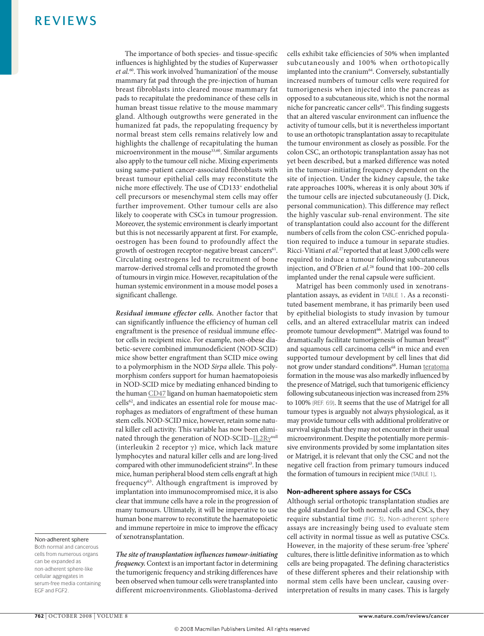The importance of both species- and tissue-specific influences is highlighted by the studies of Kuperwasser *et al.*60. This work involved 'humanization' of the mouse mammary fat pad through the pre-injection of human breast fibroblasts into cleared mouse mammary fat pads to recapitulate the predominance of these cells in human breast tissue relative to the mouse mammary gland. Although outgrowths were generated in the humanized fat pads, the repopulating frequency by normal breast stem cells remains relatively low and highlights the challenge of recapitulating the human microenvironment in the mouse<sup>33,60</sup>. Similar arguments also apply to the tumour cell niche. Mixing experiments using same-patient cancer-associated fibroblasts with breast tumour epithelial cells may reconstitute the niche more effectively. The use of CD133<sup>+</sup> endothelial cell precursors or mesenchymal stem cells may offer further improvement. Other tumour cells are also likely to cooperate with CSCs in tumour progression. moreover, the systemic environment is clearly important but this is not necessarily apparent at first. For example, oestrogen has been found to profoundly affect the growth of oestrogen receptor-negative breast cancers<sup>61</sup>. Circulating oestrogens led to recruitment of bone marrow-derived stromal cells and promoted the growth of tumours in virgin mice. However, recapitulation of the human systemic environment in a mouse model poses a significant challenge.

*Residual immune effector cells.* Another factor that can significantly influence the efficiency of human cell engraftment is the presence of residual immune effector cells in recipient mice. For example, non-obese diabetic-severe combined immunodeficient (noD-SCID) mice show better engraftment than SCID mice owing to a polymorphism in the NOD Sirpa allele. This polymorphism confers support for human haematopoiesis in NOD-SCID mice by mediating enhanced binding to the human [CD47](http://www.uniprot.org/uniprot/Q08722) ligand on human haematopoietic stem cells62, and indicates an essential role for mouse macrophages as mediators of engraftment of these human stem cells. NOD-SCID mice, however, retain some natural killer cell activity. This variable has now been eliminated through the generation of NOD-SCID-IL2Ry<sup>null</sup> (interleukin 2 receptor γ) mice, which lack mature lymphocytes and natural killer cells and are long-lived compared with other immunodeficient strains<sup>63</sup>. In these mice, human peripheral blood stem cells engraft at high frequency<sup>63</sup>. Although engraftment is improved by implantation into immunocompromised mice, it is also clear that immune cells have a role in the progression of many tumours. Ultimately, it will be imperative to use human bone marrow to reconstitute the haematopoietic and immune repertoire in mice to improve the efficacy of xenotransplantation.

Both normal and cancerous cells from numerous organs can be expanded as non-adherent sphere-like

Non-adherent sphere

cellular aggregates in serum-free media containing eGF and FGF2.

*The site of transplantation influences tumour-initiating frequency.* Context is an important factor in determining the tumorigenic frequency and striking differences have been observed when tumour cells were transplanted into different microenvironments. Glioblastoma-derived

cells exhibit take efficiencies of 50% when implanted subcutaneously and 100% when orthotopically implanted into the cranium<sup>64</sup>. Conversely, substantially increased numbers of tumour cells were required for tumorigenesis when injected into the pancreas as opposed to a subcutaneous site, which is not the normal niche for pancreatic cancer cells<sup>65</sup>. This finding suggests that an altered vascular environment can influence the activity of tumour cells, but it is nevertheless important to use an orthotopic transplantation assay to recapitulate the tumour environment as closely as possible. For the colon CSC, an orthotopic transplantation assay has not yet been described, but a marked difference was noted in the tumour-initiating frequency dependent on the site of injection. Under the kidney capsule, the take rate approaches 100%, whereas it is only about 30% if the tumour cells are injected subcutaneously (J. Dick, personal communication). This difference may reflect the highly vascular sub-renal environment. The site of transplantation could also account for the different numbers of cells from the colon CSC-enriched population required to induce a tumour in separate studies. Ricci-vitiani *et al.*27reported that at least 3,000 cells were required to induce a tumour following subcutaneous injection, and O'Brien *et al.*<sup>26</sup> found that 100-200 cells implanted under the renal capsule were sufficient.

matrigel has been commonly used in xenotransplantation assays, as evident in TABLe 1. As a reconstituted basement membrane, it has primarily been used by epithelial biologists to study invasion by tumour cells, and an altered extracellular matrix can indeed promote tumour development<sup>66</sup>. Matrigel was found to dramatically facilitate tumorigenesis of human breast<sup>67</sup> and squamous cell carcinoma cells<sup>68</sup> in mice and even supported tumour development by cell lines that did not grow under standard conditions<sup>68</sup>. Human [teratoma](http://www.cancer.gov/Templates/db_alpha.aspx?CdrID=44248) formation in the mouse was also markedly influenced by the presence of matrigel, such that tumorigenic efficiency following subcutaneous injection was increased from 25% to 100% (ReF. 69). It seems that the use of matrigel for all tumour types is arguably not always physiological, as it may provide tumour cells with additional proliferative or survival signals that they may not encounter in their usual microenvironment. Despite the potentially more permissive environments provided by some implantation sites or matrigel, it is relevant that only the CSC and not the negative cell fraction from primary tumours induced the formation of tumours in recipient mice (TABLE 1).

#### Non-adherent sphere assays for CSCs

Although serial orthotopic transplantation studies are the gold standard for both normal cells and CSCs, they require substantial time (FIG. 3). Non-adherent sphere assays are increasingly being used to evaluate stem cell activity in normal tissue as well as putative CSCs. However, in the majority of these serum-free 'sphere' cultures, there is little definitive information as to which cells are being propagated. The defining characteristics of these different spheres and their relationship with normal stem cells have been unclear, causing overinterpretation of results in many cases. This is largely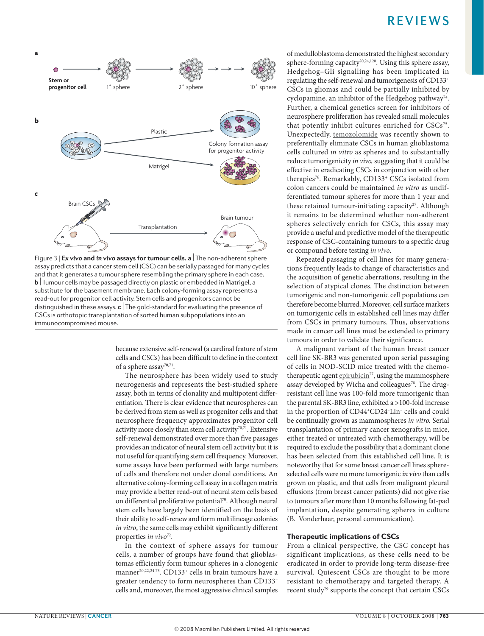

Figure 3 | Ex vivo and in vivo assays for tumour cells. a | The non-adherent sphere assay predicts that a cancer stem cell (CSC) can be serially passaged for many cycles and that it generates a tumour sphere resembling the primary sphere in each case. **b** Tumour cells may be passaged directly on plastic or embedded in Matrigel, a substitute for the basement membrane. Each colony-forming assay represents a read-out for progenitor cell activity. Stem cells and progenitors cannot be distinguished in these assays.  $c$  The gold-standard for evaluating the presence of CSCs is orthotopic transplantation of sorted human subpopulations into an immunocompromised mouse.

because extensive self-renewal (a cardinal feature of stem cells and CSCs) has been difficult to define in the context of a sphere assay<sup>70,71</sup>.

The neurosphere has been widely used to study neurogenesis and represents the best-studied sphere assay, both in terms of clonality and multipotent differentiation. There is clear evidence that neurospheres can be derived from stem as well as progenitor cells and that neurosphere frequency approximates progenitor cell activity more closely than stem cell activity $70,71$ . Extensive self-renewal demonstrated over more than five passages provides an indicator of neural stem cell activity but it is not useful for quantifying stem cell frequency. moreover, some assays have been performed with large numbers of cells and therefore not under clonal conditions. An alternative colony-forming cell assay in a collagen matrix may provide a better read-out of neural stem cells based on differential proliferative potential<sup>70</sup>. Although neural stem cells have largely been identified on the basis of their ability to self-renew and form multilineage colonies *in vitro*, the same cells may exhibit significantly different properties *in vivo*<sup>72</sup>.

In the context of sphere assays for tumour cells, a number of groups have found that glioblastomas efficiently form tumour spheres in a clonogenic manner<sup>20,22,24,73</sup>. CD133<sup>+</sup> cells in brain tumours have a greater tendency to form neurospheres than CD133– cells and, moreover, the most aggressive clinical samples of medulloblastoma demonstrated the highest secondary sphere-forming capacity<sup>20,24,120</sup>. Using this sphere assay, Hedgehog–Gli signalling has been implicated in regulating the self-renewal and tumorigenesis of CD133+ CSCs in gliomas and could be partially inhibited by cyclopamine, an inhibitor of the Hedgehog pathway<sup>74</sup>. Further, a chemical genetics screen for inhibitors of neurosphere proliferation has revealed small molecules that potently inhibit cultures enriched for CSCs<sup>75</sup>. Unexpectedly, [temozolomide](http://www.cancer.gov/Templates/drugdictionary.aspx?CdrID=41671) was recently shown to preferentially eliminate CSCs in human glioblastoma cells cultured *in vitro* as spheres and to substantially reduce tumorigenicity *in vivo,* suggesting that it could be effective in eradicating CSCs in conjunction with other therapies<sup>76</sup>. Remarkably, CD133<sup>+</sup> CSCs isolated from colon cancers could be maintained *in vitro* as undifferentiated tumour spheres for more than 1 year and these retained tumour-initiating capacity<sup>27</sup>. Although it remains to be determined whether non-adherent spheres selectively enrich for CSCs, this assay may provide a useful and predictive model of the therapeutic response of CSC-containing tumours to a specific drug or compound before testing *in vivo*.

Repeated passaging of cell lines for many generations frequently leads to change of characteristics and the acquisition of genetic aberrations, resulting in the selection of atypical clones. The distinction between tumorigenic and non-tumorigenic cell populations can therefore become blurred. moreover, cell surface markers on tumorigenic cells in established cell lines may differ from CSCs in primary tumours. Thus, observations made in cancer cell lines must be extended to primary tumours in order to validate their significance.

A malignant variant of the human breast cancer cell line SK-BR3 was generated upon serial passaging of cells in noD-SCID mice treated with the chemotherapeutic agent epirubicin<sup>77</sup>, using the mammosphere assay developed by Wicha and colleagues<sup>78</sup>. The drugresistant cell line was 100-fold more tumorigenic than the parental SK-BR3 line, exhibited a >100-fold increase in the proportion of CD44+CD24– lin– cells and could be continually grown as mammospheres *in vitro.* Serial transplantation of primary cancer xenografts in mice, either treated or untreated with chemotherapy, will be required to exclude the possibility that a dominant clone has been selected from this established cell line. It is noteworthy that for some breast cancer cell lines sphereselected cells were no more tumorigenic *in vivo* than cells grown on plastic, and that cells from malignant pleural effusions (from breast cancer patients) did not give rise to tumours after more than 10 months following fat-pad implantation, despite generating spheres in culture (B. vonderhaar, personal communication).

#### Therapeutic implications of CSCs

From a clinical perspective, the CSC concept has significant implications, as these cells need to be eradicated in order to provide long-term disease-free survival. Quiescent CSCs are thought to be more resistant to chemotherapy and targeted therapy. A recent study<sup>79</sup> supports the concept that certain CSCs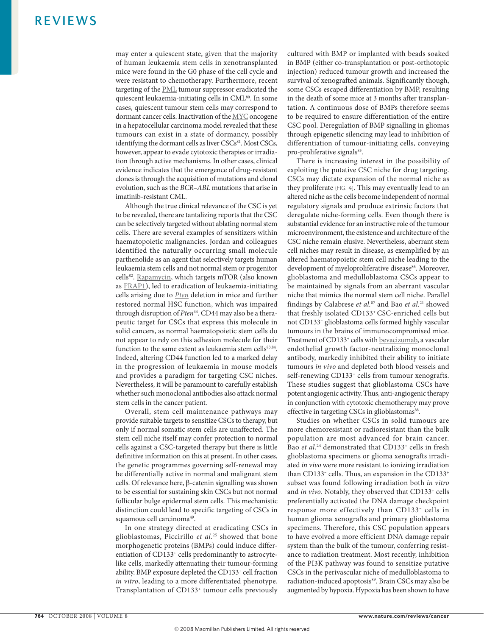may enter a quiescent state, given that the majority of human leukaemia stem cells in xenotransplanted mice were found in the G0 phase of the cell cycle and were resistant to chemotherapy. Furthermore, recent targeting of the PML tumour suppressor eradicated the quiescent leukaemia-initiating cells in CML<sup>80</sup>. In some cases, quiescent tumour stem cells may correspond to dormant cancer cells. Inactivation of the MYC oncogene in a hepatocellular carcinoma model revealed that these tumours can exist in a state of dormancy, possibly identifying the dormant cells as liver CSCs<sup>81</sup>. Most CSCs, however, appear to evade cytotoxic therapies or irradiation through active mechanisms. In other cases, clinical evidence indicates that the emergence of drug-resistant clones is through the acquisition of mutations and clonal evolution, such as the *BCR–ABL* mutations that arise in imatinib-resistant Cml.

Although the true clinical relevance of the CSC is yet to be revealed, there are tantalizing reports that the CSC can be selectively targeted without ablating normal stem cells. There are several examples of sensitizers within haematopoietic malignancies. Jordan and colleagues identified the naturally occurring small molecule parthenolide as an agent that selectively targets human leukaemia stem cells and not normal stem or progenitor cells<sup>82</sup>. [Rapamycin](http://www.cancer.gov/Templates/drugdictionary.aspx?CdrID=42555), which targets mTOR (also known as [FRAP1](http://www.uniprot.org/uniprot/P42345)), led to eradication of leukaemia-initiating cells arising due to *[Pten](http://www.ncbi.nlm.nih.gov/sites/entrez?Db=gene&Cmd=ShowDetailView&TermToSearch=19211)* deletion in mice and further restored normal HSC function, which was impaired through disruption of Pten<sup>44</sup>. CD44 may also be a therapeutic target for CSCs that express this molecule in solid cancers, as normal haematopoietic stem cells do not appear to rely on this adhesion molecule for their function to the same extent as leukaemia stem cells<sup>83,84</sup>. Indeed, altering CD44 function led to a marked delay in the progression of leukaemia in mouse models and provides a paradigm for targeting CSC niches. Nevertheless, it will be paramount to carefully establish whether such monoclonal antibodies also attack normal stem cells in the cancer patient.

Overall, stem cell maintenance pathways may provide suitable targets to sensitize CSCs to therapy, but only if normal somatic stem cells are unaffected. The stem cell niche itself may confer protection to normal cells against a CSC-targeted therapy but there is little definitive information on this at present. In other cases, the genetic programmes governing self-renewal may be differentially active in normal and malignant stem cells. of relevance here, β-catenin signalling was shown to be essential for sustaining skin CSCs but not normal follicular bulge epidermal stem cells. This mechanistic distinction could lead to specific targeting of CSCs in squamous cell carcinoma<sup>49</sup>.

In one strategy directed at eradicating CSCs in glioblastomas, Piccirillo *et al.*25 showed that bone morphogenetic proteins (BmPs) could induce differentiation of CD133<sup>+</sup> cells predominantly to astrocytelike cells, markedly attenuating their tumour-forming ability. BmP exposure depleted the CD133+ cell fraction *in vitro*, leading to a more differentiated phenotype. Transplantation of CD133<sup>+</sup> tumour cells previously cultured with BmP or implanted with beads soaked in BmP (either co-transplantation or post-orthotopic injection) reduced tumour growth and increased the survival of xenografted animals. Significantly though, some CSCs escaped differentiation by BmP, resulting in the death of some mice at 3 months after transplantation. A continuous dose of BmPs therefore seems to be required to ensure differentiation of the entire CSC pool. Deregulation of BmP signalling in gliomas through epigenetic silencing may lead to inhibition of differentiation of tumour-initiating cells, conveying pro-proliferative signals<sup>85</sup>.

There is increasing interest in the possibility of exploiting the putative CSC niche for drug targeting. CSCs may dictate expansion of the normal niche as they proliferate (FIG. 4). This may eventually lead to an altered niche as the cells become independent of normal regulatory signals and produce extrinsic factors that deregulate niche-forming cells. Even though there is substantial evidence for an instructive role of the tumour microenvironment, the existence and architecture of the CSC niche remain elusive. Nevertheless, aberrant stem cell niches may result in disease, as exemplified by an altered haematopoietic stem cell niche leading to the development of myeloproliferative disease<sup>86</sup>. Moreover, glioblastoma and medulloblastoma CSCs appear to be maintained by signals from an aberrant vascular niche that mimics the normal stem cell niche. Parallel findings by Calabrese *et al.*87 and Bao *et al.*21 showed that freshly isolated CD133<sup>+</sup> CSC-enriched cells but not CD133– glioblastoma cells formed highly vascular tumours in the brains of immunocompromised mice. Treatment of CD133<sup>+</sup> cells with **bevacizumab**, a vascular endothelial growth factor-neutralizing monoclonal antibody, markedly inhibited their ability to initiate tumours *in vivo* and depleted both blood vessels and self-renewing CD133<sup>+</sup> cells from tumour xenografts. These studies suggest that glioblastoma CSCs have potent angiogenic activity. Thus, anti-angiogenic therapy in conjunction with cytotoxic chemotherapy may prove effective in targeting CSCs in glioblastomas<sup>88</sup>.

Studies on whether CSCs in solid tumours are more chemoresistant or radioresistant than the bulk population are most advanced for brain cancer. Bao *et al.*24 demonstrated that CD133+ cells in fresh glioblastoma specimens or glioma xenografts irradiated *in vivo* were more resistant to ionizing irradiation than CD133– cells. Thus, an expansion in the CD133+ subset was found following irradiation both *in vitro* and *in vivo*. Notably, they observed that CD133<sup>+</sup> cells preferentially activated the DNA damage checkpoint response more effectively than CD133– cells in human glioma xenografts and primary glioblastoma specimens. Therefore, this CSC population appears to have evolved a more efficient DNA damage repair system than the bulk of the tumour, conferring resistance to radiation treatment. most recently, inhibition of the PI3K pathway was found to sensitize putative CSCs in the perivascular niche of medulloblastoma to radiation-induced apoptosis<sup>89</sup>. Brain CSCs may also be augmented by hypoxia. Hypoxia has been shown to have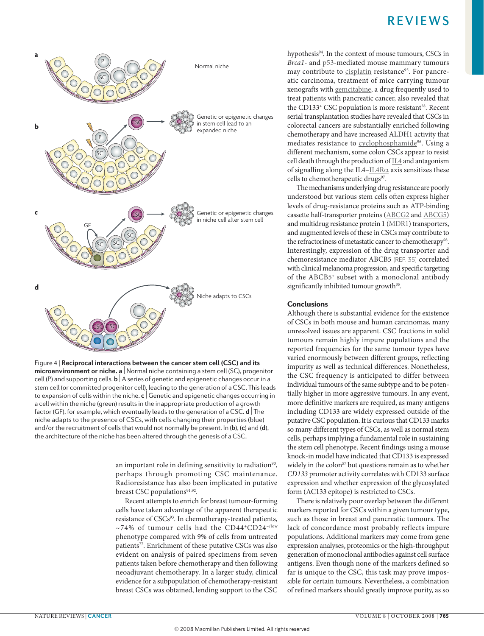

Figure 4 | **Reciprocal interactions between the cancer stem cell (CSC) and its microenvironment or niche. a** Normal niche containing a stem cell (SC), progenitor cell (P) and supporting cells.  $\mathbf{b}$  A series of genetic and epigenetic changes occur in a stem cell (or committed progenitor cell), leading to the generation of a CSC. This leads to expansion of cells within the niche.  $c \mid$  Genetic and epigenetic changes occurring in a cell within the niche (green) results in the inappropriate production of a growth factor (GF), for example, which eventually leads to the generation of a CSC.  $d$  The niche adapts to the presence of CSCs, with cells changing their properties (blue) and/or the recruitment of cells that would not normally be present. In (**b**), (**c**) and (**d**), the architecture of the niche has been altered through the genesis of a CSC.

an important role in defining sensitivity to radiation<sup>90</sup>, perhaps through promoting CSC maintenance. Radioresistance has also been implicated in putative breast CSC populations<sup>91,92</sup>.

Recent attempts to enrich for breast tumour-forming cells have taken advantage of the apparent therapeutic resistance of CSCs<sup>93</sup>. In chemotherapy-treated patients,  $\sim$ 74% of tumour cells had the CD44+CD24-/low phenotype compared with 9% of cells from untreated patients<sup>77</sup>. Enrichment of these putative CSCs was also evident on analysis of paired specimens from seven patients taken before chemotherapy and then following neoadjuvant chemotherapy. In a larger study, clinical evidence for a subpopulation of chemotherapy-resistant breast CSCs was obtained, lending support to the CSC

hypothesis<sup>94</sup>. In the context of mouse tumours, CSCs in *Brca1-* and [p53](http://www.uniprot.org/uniprot/P02340)-mediated mouse mammary tumours may contribute to [cisplatin](http://www.cancer.gov/Templates/drugdictionary.aspx?CdrID=39515) resistance<sup>95</sup>. For pancreatic carcinoma, treatment of mice carrying tumour xenografts with [gemcitabine,](http://www.cancer.gov/Templates/drugdictionary.aspx?CdrID=41213) a drug frequently used to treat patients with pancreatic cancer, also revealed that the CD133<sup>+</sup> CSC population is more resistant<sup>28</sup>. Recent serial transplantation studies have revealed that CSCs in colorectal cancers are substantially enriched following chemotherapy and have increased AlDH1 activity that mediates resistance to [cyclophosphamide](http://www.cancer.gov/Templates/drugdictionary.aspx?CdrID=39748)<sup>96</sup>. Using a different mechanism, some colon CSCs appear to resist cell death through the production of IL4 and antagonism of signalling along the IL4– $II_4R\alpha$  axis sensitizes these cells to chemotherapeutic drugs<sup>97</sup>.

The mechanisms underlying drug resistance are poorly understood but various stem cells often express higher levels of drug-resistance proteins such as ATP-binding cassette half-transporter proteins [\(ABCG2](http://www.uniprot.org/uniprot/Q9UNQ0) and [ABCG5\)](http://www.uniprot.org/uniprot/Q9H222) and multidrug resistance protein 1 (MDR1) transporters, and augmented levels of these in CSCs may contribute to the refractoriness of metastatic cancer to chemotherapy<sup>98</sup>. Interestingly, expression of the drug transporter and chemoresistance mediator ABCB5 (ReF. 35) correlated with clinical melanoma progression, and specific targeting of the ABCB5+ subset with a monoclonal antibody significantly inhibited tumour growth<sup>35</sup>.

#### **Conclusions**

Although there is substantial evidence for the existence of CSCs in both mouse and human carcinomas, many unresolved issues are apparent. CSC fractions in solid tumours remain highly impure populations and the reported frequencies for the same tumour types have varied enormously between different groups, reflecting impurity as well as technical differences. Nonetheless, the CSC frequency is anticipated to differ between individual tumours of the same subtype and to be potentially higher in more aggressive tumours. In any event, more definitive markers are required, as many antigens including CD133 are widely expressed outside of the putative CSC population. It is curious that CD133 marks so many different types of CSCs, as well as normal stem cells, perhaps implying a fundamental role in sustaining the stem cell phenotype. Recent findings using a mouse knock-in model have indicated that CD133 is expressed widely in the colon<sup>57</sup> but questions remain as to whether *CD133* promoter activity correlates with CD133 surface expression and whether expression of the glycosylated form (AC133 epitope) is restricted to CSCs.

There is relatively poor overlap between the different markers reported for CSCs within a given tumour type, such as those in breast and pancreatic tumours. The lack of concordance most probably reflects impure populations. Additional markers may come from gene expression analyses, proteomics or the high-throughput generation of monoclonal antibodies against cell surface antigens. Even though none of the markers defined so far is unique to the CSC, this task may prove impossible for certain tumours. Nevertheless, a combination of refined markers should greatly improve purity, as so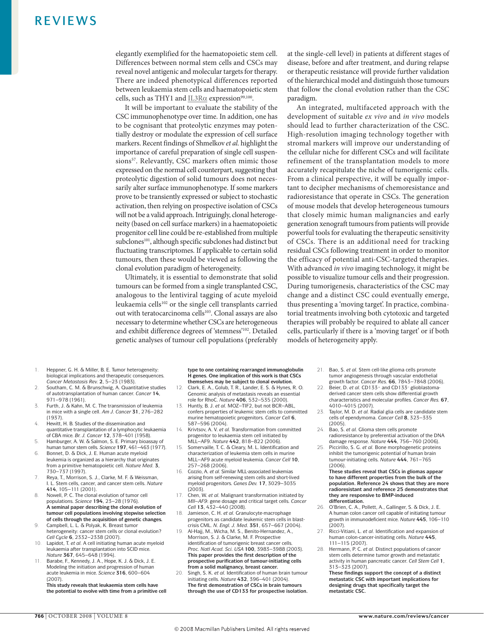elegantly exemplified for the haematopoietic stem cell. Differences between normal stem cells and CSCs may reveal novel antigenic and molecular targets for therapy. There are indeed phenotypical differences reported between leukaemia stem cells and haematopoietic stem cells, such as THY1 and IL3Rα expression<sup>99,100</sup>.

It will be important to evaluate the stability of the CSC immunophenotype over time. In addition, one has to be cognisant that proteolytic enzymes may potentially destroy or modulate the expression of cell surface markers. Recent findings of Shmelkov *et al.* highlight the importance of careful preparation of single cell suspensions<sup>57</sup>. Relevantly, CSC markers often mimic those expressed on the normal cell counterpart, suggesting that proteolytic digestion of solid tumours does not necessarily alter surface immunophenotype. If some markers prove to be transiently expressed or subject to stochastic activation, then relying on prospective isolation of CSCs will not be a valid approach. Intriguingly, clonal heterogeneity (based on cell surface markers) in a haematopoietic progenitor cell line could be re-established from multiple subclones<sup>101</sup>, although specific subclones had distinct but fluctuating transcriptomes. If applicable to certain solid tumours, then these would be viewed as following the clonal evolution paradigm of heterogeneity.

Ultimately, it is essential to demonstrate that solid tumours can be formed from a single transplanted CSC, analogous to the lentiviral tagging of acute myeloid leukaemia cells<sup>102</sup> or the single cell transplants carried out with teratocarcinoma cells<sup>103</sup>. Clonal assays are also necessary to determine whether CSCs are heterogeneous and exhibit difference degrees of 'stemness'102. Detailed genetic analyses of tumour cell populations (preferably at the single-cell level) in patients at different stages of disease, before and after treatment, and during relapse or therapeutic resistance will provide further validation of the hierarchical model and distinguish those tumours that follow the clonal evolution rather than the CSC paradigm.

An integrated, multifaceted approach with the development of suitable *ex vivo* and *in vivo* models should lead to further characterization of the CSC. High-resolution imaging technology together with stromal markers will improve our understanding of the cellular niche for different CSCs and will facilitate refinement of the transplantation models to more accurately recapitulate the niche of tumorigenic cells. From a clinical perspective, it will be equally important to decipher mechanisms of chemoresistance and radioresistance that operate in CSCs. The generation of mouse models that develop heterogeneous tumours that closely mimic human malignancies and early generation xenograft tumours from patients will provide powerful tools for evaluating the therapeutic sensitivity of CSCs. There is an additional need for tracking residual CSCs following treatment in order to monitor the efficacy of potential anti-CSC-targeted therapies. With advanced *in vivo* imaging technology, it might be possible to visualize tumour cells and their progression. During tumorigenesis, characteristics of the CSC may change and a distinct CSC could eventually emerge, thus presenting a 'moving target'. In practice, combinatorial treatments involving both cytotoxic and targeted therapies will probably be required to ablate all cancer cells, particularly if there is a 'moving target' or if both models of heterogeneity apply.

- 1. Heppner, G. H. & Miller, B. E. Tumor heterogeneity: biological implications and therapeutic consequences. *Cancer Metastasis Rev.* **2**, 5–23 (1983).
- 2. Southam, C. M. & Brunschwig, A. Quantitative studies of autotransplantation of human cancer. *Cancer* **14**, 971–978 (1961).
- 3. Furth, J. & Kahn, M. C. The transmission of leukemia in mice with a single cell. *Am J. Cancer* **31**, 276–282 (1937).
- 4. Hewitt, H. B. Studies of the dissemination and quantitative transplantation of a lymphocytic leukaemia of CBA mice. *Br. J. Cancer* **12**, 378–401 (1958).
- 5. Hamburger, A. W. & Salmon, S. E. Primary bioassay of human tumor stem cells. *Science* **197**, 461–463 (1977).
- 6. Bonnet, D. & Dick, J. E. Human acute myeloid leukemia is organized as a hierarchy that originates from a primitive hematopoietic cell. *Nature Med.* **3**, 730–737 (1997).
- 7. Reya, T., Morrison, S. J., Clarke, M. F. & Weissman, I. L. Stem cells, cancer, and cancer stem cells. *Nature* **414**, 105–111 (2001).
- 8. Nowell, P. C. The clonal evolution of tumor cell populations. *Science* **194**, 23–28 (1976). **A seminal paper describing the clonal evolution of tumour cell populations involving stepwise selection of cells through the acquisition of genetic changes.**
- 9. Campbell, L. L. & Polyak, K. Breast tumor heterogeneity: cancer stem cells or clonal evolution? *Cell Cycle* **6**, 2332–2338 (2007).
- 10. Lapidot, T. *et al.* A cell initiating human acute myeloid leukaemia after transplantation into SCID mice. *Nature* **367**, 645–648 (1994).
- 11. Barabe, F., Kennedy, J. A., Hope, K. J. & Dick, J. E. Modeling the initiation and progression of human acute leukemia in mice. *Science* **316**, 600–604 (2007).

**This study reveals that leukaemia stem cells have the potential to evolve with time from a primitive cell**  **type to one containing rearranged immunoglobulin H genes. One implication of this work is that CSCs themselves may be subject to clonal evolution.**

- 12. Clark, E. A., Golub, T. R., Lander, E. S. & Hynes, R. O. Genomic analysis of metastasis reveals an essential role for RhoC. *Nature* **406**, 532–535 (2000).
- 13. Huntly, B. J. *et al.* MOZ–TIF2, but not BCR–ABL, confers properties of leukemic stem cells to committed murine hematopoietic progenitors. *Cancer Cell* **6**, 587–596 (2004).
- 14. Krivtsov, A. V. *et al.* Transformation from committed progenitor to leukaemia stem cell initiated by MLL–AF9. *Nature* **442**, 818–822 (2006).
- 15. Somervaille, T. C. & Cleary, M. L. Identification and characterization of leukemia stem cells in murine MLL–AF9 acute myeloid leukemia. *Cancer Cell* **10**, 257–268 (2006).
- 16. Cozzio, A. *et al.* Similar MLL-associated leukemias arising from self-renewing stem cells and short-lived myeloid progenitors. *Genes Dev.* **17**, 3029–3035  $(2003)$
- 17. Chen, W. *et al.* Malignant transformation initiated by *Mll*–*AF9*: gene dosage and critical target cells. *Cancer Cell* **13**, 432–440 (2008).
- 18. Jamieson, C. H. *et al.* Granulocyte-macrophage progenitors as candidate leukemic stem cells in blastcrisis CML. *N. Engl. J. Med.* **351**, 657–667 (2004).
- 19. Al-Hajj, M., Wicha, M. S., Benito-Hernandez, A., Morrison, S. J. & Clarke, M. F. Prospective identification of tumorigenic breast cancer cells. *Proc. Natl Acad. Sci. USA* **100**, 3983–3988 (2003). **This paper provides the first description of the prospective purification of tumour-initiating cells from a solid malignancy, breast cancer.**
- 20. Singh, S. K. *et al.* Identification of human brain tumour initiating cells. *Nature* **432**, 396–401 (2004). **The first demonstration of CSCs in brain tumours through the use of CD133 for prospective isolation.**
- 21. Bao, S. *et al.* Stem cell-like glioma cells promote tumor angiogenesis through vascular endothelial growth factor. *Cancer Res.* **66**, 7843–7848 (2006).
- Beier, D. *et al.* CD133<sup>+</sup> and CD133<sup>-</sup> glioblastomaderived cancer stem cells show differential growth characteristics and molecular profiles. *Cancer Res.* **67**,
- 4010–4015 (2007). 23. Taylor, M. D. *et al.* Radial glia cells are candidate stem cells of ependymoma. *Cancer Cell* **8**, 323–335 (2005).
- 24. Bao, S. *et al.* Glioma stem cells promote radioresistance by preferential activation of the DNA damage response. *Nature* **444**, 756–760 (2006).
- 25. Piccirillo, S. G. *et al.* Bone morphogenetic proteins inhibit the tumorigenic potential of human brain tumour-initiating cells. *Nature* **444**, 761–765 (2006).

**These studies reveal that CSCs in gliomas appear to have different properties from the bulk of the population. Reference 24 shows that they are more radioresistant and reference 25 demonstrates that they are responsive to BMP-induced differentiation.**

- 26. O'Brien, C. A., Pollett, A., Gallinger, S. & Dick, J. E. A human colon cancer cell capable of initiating tumour growth in immunodeficient mice. *Nature* **445**, 106–110  $(2007)$
- 27. Ricci-Vitiani, L. *et al.* Identification and expansion of human colon-cancer-initiating cells. *Nature* **445**, 111–115 (2007).
- 28. Hermann, P. C. *et al.* Distinct populations of cancer stem cells determine tumor growth and metastatic activity in human pancreatic cancer. *Cell Stem Cell* **1**, 313–323 (2007).

**These findings support the concept of a distinct metastatic CSC with important implications for designing drugs that specifically target the metastatic CSC.**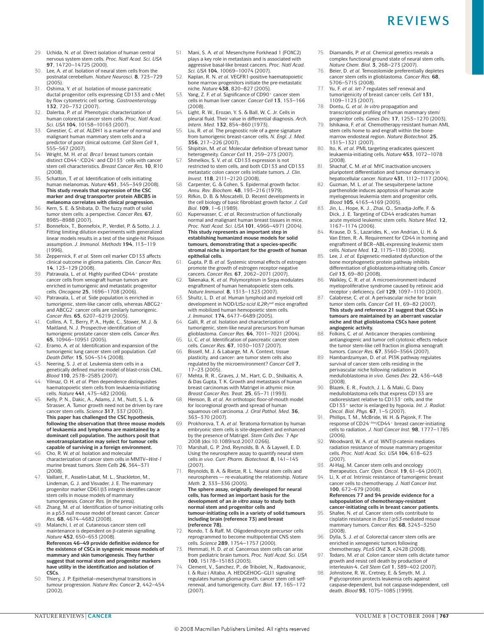- 29. Uchida, N. *et al.* Direct isolation of human central nervous system stem cells. *Proc. Natl Acad. Sci. USA* **97**, 14720–14725 (2000).
- 30. Lee, A. *et al.* Isolation of neural stem cells from the postnatal cerebellum. *Nature Neurosci.* **8**, 723–729 (2005).
- 31. Oshima, Y. *et al.* Isolation of mouse pancreatic ductal progenitor cells expressing CD133 and c-Met by flow cytometric cell sorting. *Gastroenterology* **132**, 720–732 (2007).
- 32. Dalerba, P. *et al.* Phenotypic characterization of human colorectal cancer stem cells. *Proc. Natl Acad. Sci. USA* **104**, 10158–10163 (2007).
- 33. Ginestier, C. *et al.* ALDH1 is a marker of normal and malignant human mammary stem cells and a predictor of poor clinical outcome. *Cell Stem Cell* **1**, 555–567 (2007).
- 34. Wright, M. H. *et al. Brca1* breast tumors contain distinct CD44+/CD24– and CD133– cells with cancer stem cell characteristics. *Breast Cancer Res.* **10**, R10 (2008).
- 35. Schatton, T. *et al.* Identification of cells initiating human melanomas. *Nature* **451**, 345–349 (2008). **This study reveals that expression of the CSC marker and drug transporter protein ABCB5 in melanoma correlates with clinical progression.**
- 36. Kern, S. E. & Shibata, D. The fuzzy math of solid tumor stem cells: a perspective. *Cancer Res.* **67**, 8985–8988 (2007).
- 37. Bonnefoix, T., Bonnefoix, P., Verdiel, P. & Sotto, J. J. Fitting limiting dilution experiments with generalized linear models results in a test of the single-hit Poisson assumption. *J. Immunol. Methods* **194**, 113–119 (1996).
- 38. Zeppernick, F. *et al.* Stem cell marker CD133 affects clinical outcome in glioma patients. *Clin. Cancer Res.* **14**, 123–129 (2008).
- 39. Patrawala, L. *et al.* Highly purified CD44+ prostate cancer cells from xenograft human tumors are enriched in tumorigenic and metastatic progenitor cells. *Oncogene* **25**, 1696–1708 (2006).
- 40. Patrawala, L. *et al.* Side population is enriched in tumorigenic, stem-like cancer cells, whereas ABCG2+ and ABCG2– cancer cells are similarly tumorigenic. *Cancer Res.* **65**, 6207–6219 (2005).
- 41. Collins, A. T., Berry, P. A., Hyde, C., Stower, M. J. & Maitland, N. J. Prospective identification of tumorigenic prostate cancer stem cells. *Cancer Res.* **65**, 10946–10951 (2005).
- 42. Eramo, A. *et al.* Identification and expansion of the tumorigenic lung cancer stem cell population. *Cell Death Differ.* **15**, 504–514 (2008).
- 43. Neering, S. J. *et al.* Leukemia stem cells in a genetically defined murine model of blast-crisis CML. *Blood* **110**, 2578–2585 (2007).
- 44. Yilmaz, O. H. *et al.* Pten dependence distinguishes haematopoietic stem cells from leukaemia-initiating cells. *Nature* **441**, 475–482 (2006).
- 45. Kelly, P. N., Dakic, A., Adams, J. M., Nutt, S. L. & Strasser, A. Tumor growth need not be driven by rare cancer stem cells. *Science* **317**, 337 (2007). **This paper has challenged the CSC hypothesis, following the observation that three mouse models of leukaemia and lymphoma are maintained by a dominant cell population. The authors posit that xenotransplantation may select for tumour cells capable of surviving in a foreign environment.**
- 46. Cho, R. W. *et al.* Isolation and molecular characterization of cancer stem cells in MMTV–*Wnt-1* murine breast tumors. *Stem Cells* **26**, 364–371 (2008).
- 47. Vaillant, F., Asselin-Labat, M. L., Shackleton, M., Lindeman, G. J. and Visvader, J. E. The mammary progenitor marker CD61/β3 integrin identifies cancer stem cells in mouse models of mammary
- tumorigenesis. *Cancer Res.* (in the press). 48. Zhang, M. *et al.* Identification of tumor-initiating cells in a p53 null mouse model of breast cancer. *Cancer Res.* **68**, 4674–4682 (2008).
- 49. Malanchi, I. *et al.* Cutaneous cancer stem cell maintenance is dependent on β-catenin signalling. *Nature* **452**, 650–653 (2008). **References 46–49 provide definitive evidence for the existence of CSCs in syngeneic mouse models of mammary and skin tumorigenesis. They further suggest that normal stem and progenitor markers have utility in the identification and isolation of CSCs.**
- Thiery, J. P. Epithelial–mesenchymal transitions in tumour progression. *Nature Rev. Cancer* **2**, 442–454 (2002).
- 51. Mani, S. A. *et al.* Mesenchyme Forkhead 1 (FOXC2) plays a key role in metastasis and is associated with aggressive basal-like breast cancers. *Proc. Natl Acad. Sci. USA* **104**, 10069–10074 (2007).
- 52. Kaplan, R. N. *et al.* VEGFR1-positive haematopoietic bone marrow progenitors initiate the pre-metastatic niche. *Nature* **438**, 820–827 (2005).
- 53. Yang, Z. F. *et al.* Significance of CD90+ cancer stem cells in human liver cancer. *Cancer Cell* **13**, 153–166 (2008).
- 54. Light, R. W., Erozan, Y. S. & Ball, W. C. Jr. Cells in pleural fluid. Their value in differential diagnosis. *Arch. Intern. Med.* **132**, 854–860 (1973).
- 55. Liu, R. *et al.* The prognostic role of a gene signature from tumorigenic breast-cancer cells. *N. Engl. J. Med.* **356**, 217–226 (2007).
- 56. Shipitsin, M. *et al.* Molecular definition of breast tumor heterogeneity. *Cancer Cell* **11**, 259–273 (2007).
- 57. Shmelkov, S. V. *et al.* CD133 expression is not restricted to stem cells, and both CD133 and CD133 metastatic colon cancer cells initiate tumors. *J. Clin. Invest.* **118**, 2111–2120 (2008).
- 58. Carpenter, G. & Cohen, S. Epidermal growth factor. *Annu. Rev. Biochem.* **48**, 193–216 (1979).
- 59. Rifkin, D. B. & Moscatelli, D. Recent developments in the cell biology of basic fibroblast growth factor. *J. Cell Biol.* **109**, 1–6 (1989).
- 60. Kuperwasser, C. *et al.* Reconstruction of functionally normal and malignant human breast tissues in mice. *Proc. Natl Acad. Sci. USA* **101**, 4966–4971 (2004). **This study represents an important step in establishing humanized mouse models for solid tumours, demonstrating that a species-specific stromal niche is important for the growth of human epithelial cells.**
- 61. Gupta, P. B. *et al.* Systemic stromal effects of estrogen promote the growth of estrogen receptor-negative cancers. *Cancer Res.* **67**, 2062–2071 (2007).
- 62. Takenaka, K. *et al.* Polymorphism in Sirpa modulates engraftment of human hematopoietic stem cells. *Nature Immunol.* **8**, 1313–1323 (2007).
- 63. Shultz, L. D. *et al.* Human lymphoid and myeloid cell development in NOD/LtSz-*scid IL2R*γ*null* mice engrafted with mobilized human hemopoietic stem cells. *J. Immunol.* **174**, 6477–6489 (2005).
- Galli, R. *et al.* Isolation and characterization of tumorigenic, stem-like neural precursors from human glioblastoma. *Cancer Res.* **64**, 7011–7021 (2004).
- 65. Li, C. *et al.* Identification of pancreatic cancer stem cells. *Cancer Res.* **67**, 1030–1037 (2007).
- 66. Bissell, M. J. & Labarge, M. A. Context, tissue plasticity, and cancer: are tumor stem cells also regulated by the microenvironment? *Cancer Cell* **7**, 17–23 (2005).
- 67. Mehta, R. R., Graves, J. M., Hart, G. D., Shilkaitis, A. & Das Gupta, T. K. Growth and metastasis of human breast carcinomas with Matrigel in athymic mice. *Breast Cancer Res. Treat.* **25**, 65–71 (1993).
- 68. Henson, B. *et al.* An orthotopic floor-of-mouth model for locoregional growth and spread of human squamous cell carcinoma. *J. Oral Pathol. Med.* **36**, 363–370 (2007).
- 69. Prokhorova, T. A. *et al.* Teratoma formation by human embryonic stem cells is site-dependent and enhanced by the presence of Matrigel. *Stem Cells Dev.* 7 Apr 2008 (doi:10.1089/scd.2007.0266).
- Marshall, G. P. 2nd, Reynolds, B. A. & Laywell, E. D. Using the neurosphere assay to quantify neural stem cells *in vivo*. *Curr. Pharm. Biotechnol.* **8**, 141–145 (2007).
- 71. Reynolds, B. A. & Rietze, R. L. Neural stem cells and neurospheres — re-evaluating the relationship. *Nature Meth.* **2**, 333–336 (2005). **The sphere assay, originally developed for neural cells, has formed an important basis for the development of an** *in vitro* **assay to study both normal stem and progenitor cells and tumour-initiating cells in a variety of solid tumours including brain (reference 73) and breast (reference 78).**
- 72. Kondo, T. & Raff, M. Oligodendrocyte precursor cells reprogrammed to become multipotential CNS stem cells. *Science* **289**, 1754–1757 (2000).
- 73. Hemmati, H. D. *et al.* Cancerous stem cells can arise from pediatric brain tumors. *Proc. Natl Acad. Sci. USA* **100**, 15178–15183 (2003).
- 74. Clement, V., Sanchez, P., de Tribolet, N., Radovanovic, I. & Ruiz i Altaba, A. HEDGEHOG–GLI1 signaling regulates human glioma growth, cancer stem cell selfrenewal, and tumorigenicity. *Curr. Biol.* **17**, 165–172 (2007).
- 75. Diamandis, P. *et al.* Chemical genetics reveals a complex functional ground state of neural stem cells. *Nature Chem. Biol.* **3**, 268–273 (2007).
- 76. Beier, D. *et al.* Temozolomide preferentially depletes cancer stem cells in glioblastoma. *Cancer Res.* **68**, 5706–5715 (2008).
- Yu, F. *et al. let-7* regulates self renewal and tumorigenicity of breast cancer cells. *Cell* **131**, 1109–1123 (2007).
- 78. Dontu, G. *et al. In vitro* propagation and transcriptional profiling of human mammary stem/ progenitor cells. *Genes Dev.* **17**, 1253–1270 (2003).
- 79. Ishikawa, F. *et al.* Chemotherapy-resistant human AML stem cells home to and engraft within the bonemarrow endosteal region. *Nature Biotechnol.* **25**, 1315–1321 (2007).
- 80. Ito, K. *et al.* PML targeting eradicates quiescent leukaemia-initiating cells. *Nature* **453**, 1072–1078 (2008).
- 81. Shachaf, C. M. *et al.* MYC inactivation uncovers pluripotent differentiation and tumour dormancy in hepatocellular cancer. *Nature* **431**, 1112–1117 (2004).
- 82. Guzman, M. L. *et al.* The sesquiterpene lactone parthenolide induces apoptosis of human acute myelogenous leukemia stem and progenitor cells. *Blood* **105**, 4163–4169 (2005).
- 83. Jin, L., Hope, K. J., Zhai, Q., Smadja-Joffe, F. & Dick, J. E. Targeting of CD44 eradicates human acute myeloid leukemic stem cells. *Nature Med.* **12**, 1167–1174 (2006).
- 84. Krause, D. S., Lazarides, K., von Andrian, U. H. & Van Etten, R. A. Requirement for CD44 in homing and engraftment of BCR–ABL-expressing leukemic stem cells. *Nature Med.* **12**, 1175–1180 (2006).
- 85. Lee, J. *et al.* Epigenetic-mediated dysfunction of the bone morphogenetic protein pathway inhibits differentiation of glioblastoma-initiating cells. *Cancer Cell* **13**, 69–80 (2008).
- 86. Walkley, C. R. *et al.* A microenvironment-induced myeloproliferative syndrome caused by retinoic acid
- receptor γ deficiency. *Cell* **129**, 1097–1110 (2007). 87. Calabrese, C. *et al.* A perivascular niche for brain tumor stem cells. *Cancer Cell* **11**, 69–82 (2007). **This study and reference 21 suggest that CSCs in tumours are maintained by an aberrant vascular niche and that glioblastoma CSCs have potent angiogenic activity.**
- 88. Folkins, C. *et al.* Anticancer therapies combining antiangiogenic and tumor cell cytotoxic effects reduce the tumor stem-like cell fraction in glioma xenograft tumors. *Cancer Res.* **67**, 3560–3564 (2007).
- 89. Hambardzumyan, D. *et al.* PI3K pathway regulates survival of cancer stem cells residing in the perivascular niche following radiation in medulloblastoma *in vivo*. *Genes Dev.* **22**, 436–448 (2008).
- 90. Blazek, E. R., Foutch, J. L. & Maki, G. Daoy medulloblastoma cells that express CD133 are radioresistant relative to CD133– cells, and the CD133+ sector is enlarged by hypoxia. *Int. J. Radiat. Oncol. Biol. Phys.* **67**, 1–5 (2007).
- 91. Phillips, T. M., McBride, W. H. & Pajonk, F. The response of CD24–/low/CD44+ breast cancer-initiating cells to radiation. *J. Natl Cancer Inst.* **98**, 1777–1785 (2006).
- 92. Woodward, W. A. *et al.* WNT/β-catenin mediates radiation resistance of mouse mammary progenitor cells. *Proc. Natl Acad. Sci. USA* **104**, 618–623 (2007).
- 93. Al-Hajj, M. Cancer stem cells and oncology
- therapeutics. *Curr. Opin. Oncol.* **19**, 61–64 (2007). 94. Li, X. *et al.* Intrinsic resistance of tumorigenic breast cancer cells to chemotherapy. *J. Natl Cancer Inst.* **100**, 672–679 (2008). **References 77 and 94 provide evidence for a**

### **subpopulation of chemotherapy-resistant cancer-initiating cells in breast cancer patients.**

- 95. Shafee, N. *et al.* Cancer stem cells contribute to cisplatin resistance in *Brca1*/*p53*-mediated mouse mammary tumors. *Cancer Res.* **68**, 3243–3250 (2008).
- 96. Dylla, S. J. *et al.* Colorectal cancer stem cells are enriched in xenogeneic tumors following chemotherapy. *PLoS ONE* **3**, e2428 (2008).
- 97. Todaro, M. *et al.* Colon cancer stem cells dictate tumor growth and resist cell death by production of interleukin-4. *Cell Stem Cell* **1**, 389–402 (2007). 98. Johnstone, R. W., Cretney, E. & Smyth, M. J.
- P-glycoprotein protects leukemia cells against caspase-dependent, but not caspase-independent, cell death. *Blood* **93**, 1075–1085 (1999).